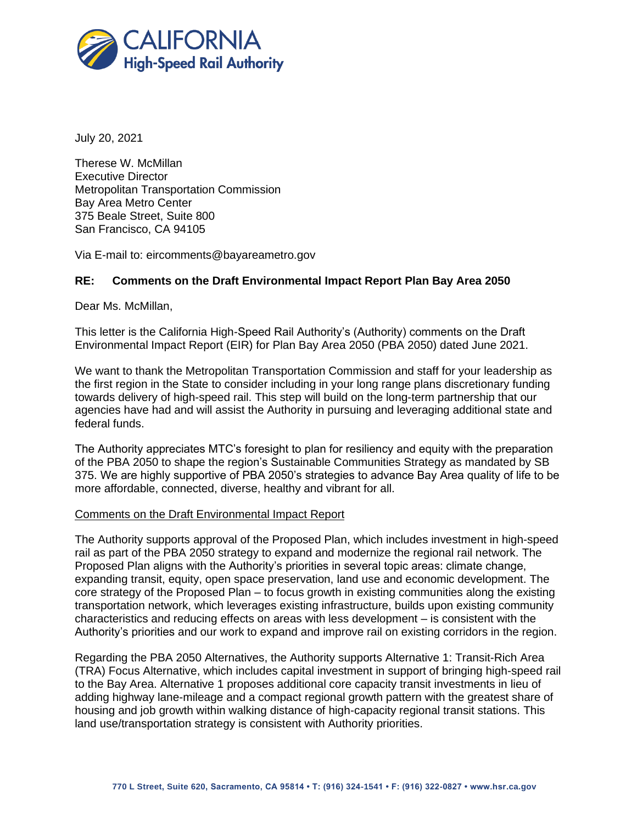

July 20, 2021

Therese W. McMillan Executive Director Metropolitan Transportation Commission Bay Area Metro Center 375 Beale Street, Suite 800 San Francisco, CA 94105

Via E-mail to: eircomments@bayareametro.gov

## **RE: Comments on the Draft Environmental Impact Report Plan Bay Area 2050**

Dear Ms. McMillan,

This letter is the California High-Speed Rail Authority's (Authority) comments on the Draft Environmental Impact Report (EIR) for Plan Bay Area 2050 (PBA 2050) dated June 2021.

We want to thank the Metropolitan Transportation Commission and staff for your leadership as the first region in the State to consider including in your long range plans discretionary funding towards delivery of high-speed rail. This step will build on the long-term partnership that our agencies have had and will assist the Authority in pursuing and leveraging additional state and federal funds.

The Authority appreciates MTC's foresight to plan for resiliency and equity with the preparation of the PBA 2050 to shape the region's Sustainable Communities Strategy as mandated by SB 375. We are highly supportive of PBA 2050's strategies to advance Bay Area quality of life to be more affordable, connected, diverse, healthy and vibrant for all.

## Comments on the Draft Environmental Impact Report

The Authority supports approval of the Proposed Plan, which includes investment in high-speed rail as part of the PBA 2050 strategy to expand and modernize the regional rail network. The Proposed Plan aligns with the Authority's priorities in several topic areas: climate change, expanding transit, equity, open space preservation, land use and economic development. The core strategy of the Proposed Plan – to focus growth in existing communities along the existing transportation network, which leverages existing infrastructure, builds upon existing community characteristics and reducing effects on areas with less development – is consistent with the Authority's priorities and our work to expand and improve rail on existing corridors in the region.

Regarding the PBA 2050 Alternatives, the Authority supports Alternative 1: Transit-Rich Area (TRA) Focus Alternative, which includes capital investment in support of bringing high-speed rail to the Bay Area. Alternative 1 proposes additional core capacity transit investments in lieu of adding highway lane-mileage and a compact regional growth pattern with the greatest share of housing and job growth within walking distance of high-capacity regional transit stations. This land use/transportation strategy is consistent with Authority priorities.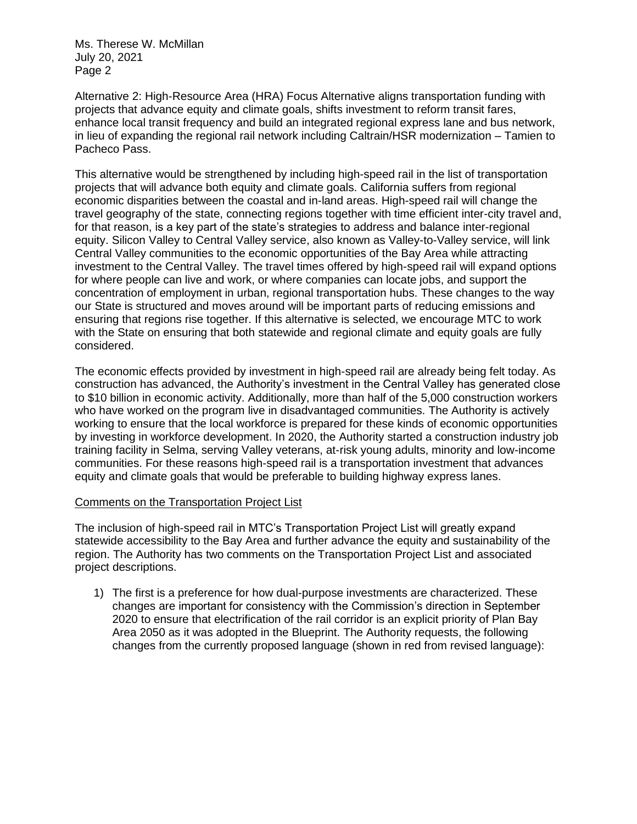Ms. Therese W. McMillan July 20, 2021 Page 2

Alternative 2: High-Resource Area (HRA) Focus Alternative aligns transportation funding with projects that advance equity and climate goals, shifts investment to reform transit fares, enhance local transit frequency and build an integrated regional express lane and bus network, in lieu of expanding the regional rail network including Caltrain/HSR modernization – Tamien to Pacheco Pass.

This alternative would be strengthened by including high-speed rail in the list of transportation projects that will advance both equity and climate goals. California suffers from regional economic disparities between the coastal and in-land areas. High-speed rail will change the travel geography of the state, connecting regions together with time efficient inter-city travel and, for that reason, is a key part of the state's strategies to address and balance inter-regional equity. Silicon Valley to Central Valley service, also known as Valley-to-Valley service, will link Central Valley communities to the economic opportunities of the Bay Area while attracting investment to the Central Valley. The travel times offered by high-speed rail will expand options for where people can live and work, or where companies can locate jobs, and support the concentration of employment in urban, regional transportation hubs. These changes to the way our State is structured and moves around will be important parts of reducing emissions and ensuring that regions rise together. If this alternative is selected, we encourage MTC to work with the State on ensuring that both statewide and regional climate and equity goals are fully considered.

The economic effects provided by investment in high-speed rail are already being felt today. As construction has advanced, the Authority's investment in the Central Valley has generated close to \$10 billion in economic activity. Additionally, more than half of the 5,000 construction workers who have worked on the program live in disadvantaged communities. The Authority is actively working to ensure that the local workforce is prepared for these kinds of economic opportunities by investing in workforce development. In 2020, the Authority started a construction industry job training facility in Selma, serving Valley veterans, at-risk young adults, minority and low-income communities. For these reasons high-speed rail is a transportation investment that advances equity and climate goals that would be preferable to building highway express lanes.

## Comments on the Transportation Project List

The inclusion of high-speed rail in MTC's Transportation Project List will greatly expand statewide accessibility to the Bay Area and further advance the equity and sustainability of the region. The Authority has two comments on the Transportation Project List and associated project descriptions.

1) The first is a preference for how dual-purpose investments are characterized. These changes are important for consistency with the Commission's direction in September 2020 to ensure that electrification of the rail corridor is an explicit priority of Plan Bay Area 2050 as it was adopted in the Blueprint. The Authority requests, the following changes from the currently proposed language (shown in red from revised language):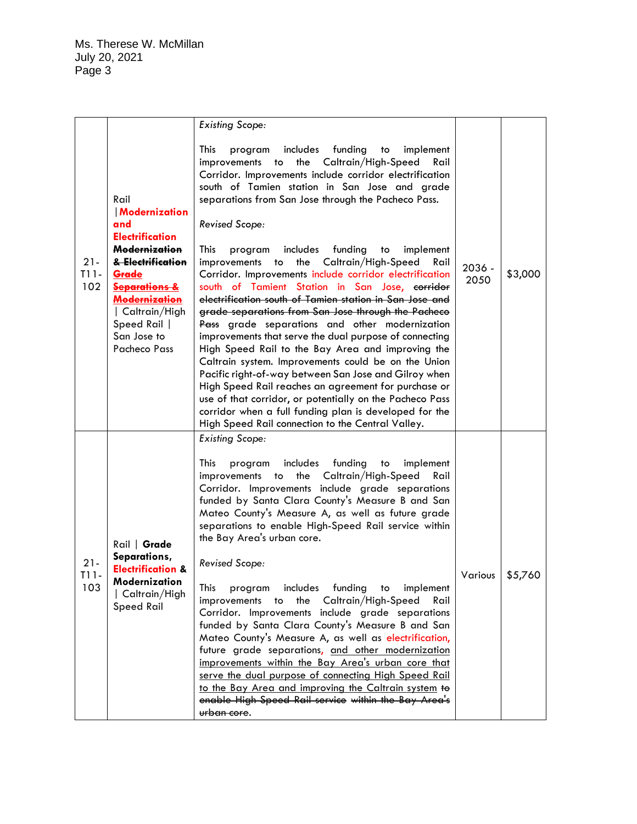Ms. Therese W. McMillan July 20, 2021 Page 3

|                         |                                                                                                                                                                                                                             | <b>Existing Scope:</b>                                                                                                                                                                                                                                                                                                                                                                                                                                                                                                                                                                                                                                                                                                                                                                                                                                                                                                                                                                                                                                                                                                                                                                  |                  |         |
|-------------------------|-----------------------------------------------------------------------------------------------------------------------------------------------------------------------------------------------------------------------------|-----------------------------------------------------------------------------------------------------------------------------------------------------------------------------------------------------------------------------------------------------------------------------------------------------------------------------------------------------------------------------------------------------------------------------------------------------------------------------------------------------------------------------------------------------------------------------------------------------------------------------------------------------------------------------------------------------------------------------------------------------------------------------------------------------------------------------------------------------------------------------------------------------------------------------------------------------------------------------------------------------------------------------------------------------------------------------------------------------------------------------------------------------------------------------------------|------------------|---------|
| $21 -$<br>$T11-$<br>102 | Rail<br>Modernization<br>and<br><b>Electrification</b><br>Modernization<br>& Electrification<br>Grade<br><b>Separations &amp;</b><br><b>Modernization</b><br>  Caltrain/High<br>Speed Rail  <br>San Jose to<br>Pacheco Pass | This<br>includes<br>funding<br>implement<br>program<br>to<br>the Caltrain/High-Speed<br>improvements<br>Rail<br>to<br>Corridor. Improvements include corridor electrification<br>south of Tamien station in San Jose and grade<br>separations from San Jose through the Pacheco Pass.<br><b>Revised Scope:</b><br>This<br>includes<br>funding<br>implement<br>program<br>to<br>the Caltrain/High-Speed<br>improvements<br>Rail<br>to<br>Corridor. Improvements include corridor electrification<br>south of Tamient Station in San Jose, corridor<br>electrification south of Tamien station in San Jose and<br>grade separations from San Jose through the Pacheco<br>Pass grade separations and other modernization<br>improvements that serve the dual purpose of connecting<br>High Speed Rail to the Bay Area and improving the<br>Caltrain system. Improvements could be on the Union<br>Pacific right-of-way between San Jose and Gilroy when<br>High Speed Rail reaches an agreement for purchase or<br>use of that corridor, or potentially on the Pacheco Pass<br>corridor when a full funding plan is developed for the<br>High Speed Rail connection to the Central Valley. | $2036 -$<br>2050 | \$3,000 |
| $21 -$<br>T11-<br>103   | Rail   Grade<br>Separations,<br><b>Electrification &amp;</b><br>Modernization<br>  Caltrain/High<br>Speed Rail                                                                                                              | <b>Existing Scope:</b><br>This<br>includes<br>funding<br>program<br>implement<br>to<br>the Caltrain/High-Speed<br>Rail<br>improvements<br>to<br>Corridor. Improvements include grade separations<br>funded by Santa Clara County's Measure B and San<br>Mateo County's Measure A, as well as future grade<br>separations to enable High-Speed Rail service within<br>the Bay Area's urban core.<br><b>Revised Scope:</b><br>This<br>includes funding<br>program<br>to<br>implement<br>the<br>Caltrain/High-Speed<br>Rail<br>improvements<br>to<br>Corridor. Improvements include grade separations<br>funded by Santa Clara County's Measure B and San<br>Mateo County's Measure A, as well as electrification,<br>future grade separations, and other modernization<br>improvements within the Bay Area's urban core that<br>serve the dual purpose of connecting High Speed Rail<br>to the Bay Area and improving the Caltrain system to<br>enable High-Speed Rail service within the Bay Area's<br>urban core.                                                                                                                                                                       | Various          | \$5,760 |